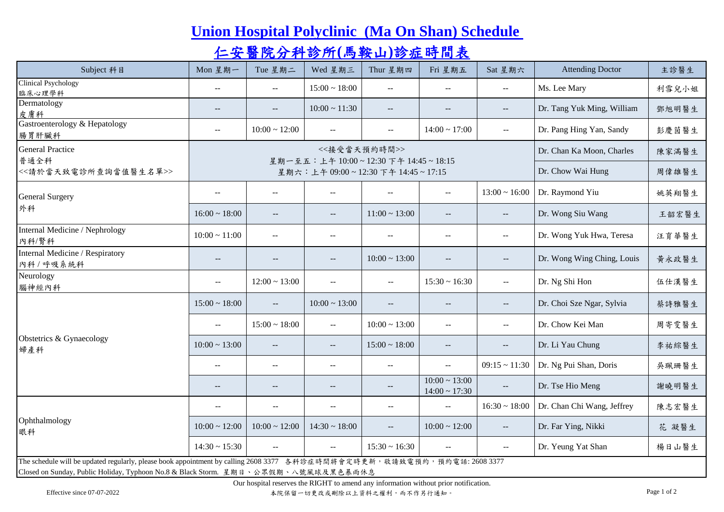## **[Union Hospital Polyclinic \(Ma On Shan\) Schedule](http://www.union.org/mos/index.html)**

## [仁安醫院分科診所](http://www.union.org/mos/index.html)**[\(](http://www.union.org/mos/index.html)**[馬鞍山](http://www.union.org/mos/index.html)**[\)](http://www.union.org/mos/index.html)**[診症時間表](http://www.union.org/mos/index.html)

| Subject 科目                                                                                                                                                                                                       | Mon 星期一                  | Tue 星期二                                                            | Wed 星期三                                             | Thur 星期四                                            | Fri 星期五                                  | Sat 星期六                                             | <b>Attending Doctor</b>    | 主診醫生  |  |  |  |
|------------------------------------------------------------------------------------------------------------------------------------------------------------------------------------------------------------------|--------------------------|--------------------------------------------------------------------|-----------------------------------------------------|-----------------------------------------------------|------------------------------------------|-----------------------------------------------------|----------------------------|-------|--|--|--|
| <b>Clinical Psychology</b><br>臨床心理學科                                                                                                                                                                             | $\overline{\phantom{a}}$ | $- -$                                                              | $15:00 \sim 18:00$                                  | $\mathbf{u}$                                        | $\sim$ $\sim$                            | $\overline{\phantom{a}}$                            | Ms. Lee Mary               | 利雪兒小姐 |  |  |  |
| Dermatology<br>皮膚科                                                                                                                                                                                               | $\overline{\phantom{m}}$ | $\overline{\phantom{a}}$                                           | $10:00 \sim 11:30$                                  | $\overline{\phantom{a}}$                            | $\overline{\phantom{m}}$                 | $\overline{\phantom{m}}$                            | Dr. Tang Yuk Ming, William | 鄧旭明醫生 |  |  |  |
| Gastroenterology & Hepatology<br>腸胃肝臟科                                                                                                                                                                           | $\overline{a}$           | $10:00 \sim 12:00$                                                 | $\sim$                                              | $\overline{a}$                                      | $14:00 \sim 17:00$                       | $\sim$                                              | Dr. Pang Hing Yan, Sandy   | 彭慶茵醫生 |  |  |  |
| <b>General Practice</b>                                                                                                                                                                                          |                          |                                                                    | Dr. Chan Ka Moon, Charles                           | 陳家滿醫生                                               |                                          |                                                     |                            |       |  |  |  |
| 普通全科<br><<請於當天致電診所查詢當值醫生名單>>                                                                                                                                                                                     |                          | 星期一至五:上午10:00~12:30下午14:45~18:15<br>星期六:上午09:00~12:30下午14:45~17:15 | Dr. Chow Wai Hung                                   | 周偉雄醫生                                               |                                          |                                                     |                            |       |  |  |  |
| General Surgery<br>外科                                                                                                                                                                                            | $\overline{a}$           | $\overline{\phantom{a}}$                                           | $\sim$                                              | $\overline{a}$                                      | $\overline{a}$                           | $13:00 \sim 16:00$                                  | Dr. Raymond Yiu            | 姚英翔醫生 |  |  |  |
|                                                                                                                                                                                                                  | $16:00 \sim 18:00$       | $\overline{\phantom{m}}$                                           | $\overline{\phantom{a}}$                            | $11:00 \sim 13:00$                                  | $\overline{\phantom{m}}$                 | $\overline{\phantom{m}}$                            | Dr. Wong Siu Wang          | 王韶宏醫生 |  |  |  |
| Internal Medicine / Nephrology<br>內科/腎科                                                                                                                                                                          | $10:00 \sim 11:00$       | $\overline{a}$                                                     | $\sim$ $-$                                          | $\sim$ $-$                                          | $\overline{a}$                           | $\mathcal{L}_{\mathcal{F}}$                         | Dr. Wong Yuk Hwa, Teresa   | 汪育華醫生 |  |  |  |
| Internal Medicine / Respiratory<br>內科/呼吸系統科                                                                                                                                                                      | $\overline{\phantom{a}}$ | $-$                                                                | $\overline{\phantom{a}}$                            | $10:00 \sim 13:00$                                  | $\overline{\phantom{m}}$                 | $- -$                                               | Dr. Wong Wing Ching, Louis | 黄永政醫生 |  |  |  |
| Neurology<br>腦神經內科                                                                                                                                                                                               | $\sim$ $\sim$            | $12:00 \sim 13:00$                                                 | $\mathbb{L}^{\mathbb{L}}$                           | $\sim$                                              | $15:30 \sim 16:30$                       | $\sim$ $\sim$                                       | Dr. Ng Shi Hon             | 伍仕漢醫生 |  |  |  |
| Obstetrics & Gynaecology<br>婦產科                                                                                                                                                                                  | $15:00 \sim 18:00$       | $\mathbf{L}$                                                       | $10:00 \sim 13:00$                                  | $\hspace{0.05cm} -\hspace{0.05cm} -\hspace{0.05cm}$ | $\overline{\phantom{m}}$                 | $\overline{\phantom{a}}$                            | Dr. Choi Sze Ngar, Sylvia  | 蔡詩雅醫生 |  |  |  |
|                                                                                                                                                                                                                  | $-$                      | $15:00 \sim 18:00$                                                 | $\sim$                                              | $10:00 \sim 13:00$                                  | $-$                                      | $\sim$                                              | Dr. Chow Kei Man           | 周寄雯醫生 |  |  |  |
|                                                                                                                                                                                                                  | $10:00 \sim 13:00$       | $\overline{\phantom{a}}$                                           | $\hspace{0.05cm} -\hspace{0.05cm} -\hspace{0.05cm}$ | $15:00 \sim 18:00$                                  | $\mathbb{L} \mathbb{L}$                  | $\hspace{0.05cm} -\hspace{0.05cm} -\hspace{0.05cm}$ | Dr. Li Yau Chung           | 李祐綜醫生 |  |  |  |
|                                                                                                                                                                                                                  | $\sim$ $\sim$            | $\overline{\phantom{a}}$                                           | $\sim$ $-$                                          | $\sim$                                              | $\sim$ $\sim$                            | $09:15 \sim 11:30$                                  | Dr. Ng Pui Shan, Doris     | 吳珮珊醫生 |  |  |  |
|                                                                                                                                                                                                                  | $-$                      | $\hspace{0.05cm} -\hspace{0.05cm} -\hspace{0.05cm}$                | $-\,-$                                              | $\hspace{0.05cm} -\hspace{0.05cm} -\hspace{0.05cm}$ | $10:00 \sim 13:00$<br>$14:00 \sim 17:30$ | $\hspace{0.05cm} -\hspace{0.05cm} -\hspace{0.05cm}$ | Dr. Tse Hio Meng           | 謝曉明醫生 |  |  |  |
| Ophthalmology<br>眼科                                                                                                                                                                                              | $\overline{a}$           | $\overline{a}$                                                     | $\overline{a}$                                      | $\overline{a}$                                      | $\overline{a}$                           | $16:30 \sim 18:00$                                  | Dr. Chan Chi Wang, Jeffrey | 陳志宏醫生 |  |  |  |
|                                                                                                                                                                                                                  | $10:00 \sim 12:00$       | $10:00 \sim 12:00$                                                 | $14:30 \sim 18:00$                                  |                                                     | $10:00 \sim 12:00$                       | $\perp$ .                                           | Dr. Far Ying, Nikki        | 花 凝醫生 |  |  |  |
|                                                                                                                                                                                                                  | $14:30 \sim 15:30$       | $\sim$ $\sim$                                                      | $\sim$ $\sim$                                       | $15:30 \sim 16:30$                                  | $\sim$ $\sim$                            | $\sim$ $\sim$                                       | Dr. Yeung Yat Shan         | 楊日山醫生 |  |  |  |
| The schedule will be updated regularly, please book appointment by calling 2608 3377 各科診症時間將會定時更新, 敬請致電預約, 預約電話: 2608 3377<br>Closed on Sunday, Public Holiday, Typhoon No.8 & Black Storm. 星期日、公眾假期、八號風球及黑色暴雨休息 |                          |                                                                    |                                                     |                                                     |                                          |                                                     |                            |       |  |  |  |